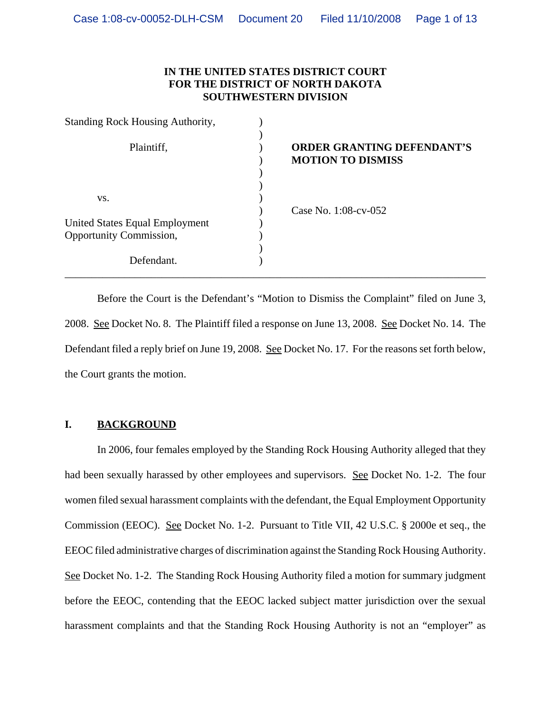# **IN THE UNITED STATES DISTRICT COURT FOR THE DISTRICT OF NORTH DAKOTA SOUTHWESTERN DIVISION**

| <b>Standing Rock Housing Authority,</b> |                                                               |
|-----------------------------------------|---------------------------------------------------------------|
| Plaintiff,                              | <b>ORDER GRANTING DEFENDANT'S</b><br><b>MOTION TO DISMISS</b> |
| VS.                                     |                                                               |
|                                         | Case No. 1:08-cv-052                                          |
| <b>United States Equal Employment</b>   |                                                               |
| Opportunity Commission,                 |                                                               |
|                                         |                                                               |
| Defendant.                              |                                                               |

Before the Court is the Defendant's "Motion to Dismiss the Complaint" filed on June 3, 2008. See Docket No. 8. The Plaintiff filed a response on June 13, 2008. See Docket No. 14. The Defendant filed a reply brief on June 19, 2008. See Docket No. 17. For the reasons set forth below, the Court grants the motion.

# **I. BACKGROUND**

In 2006, four females employed by the Standing Rock Housing Authority alleged that they had been sexually harassed by other employees and supervisors. See Docket No. 1-2. The four women filed sexual harassment complaints with the defendant, the Equal Employment Opportunity Commission (EEOC). See Docket No. 1-2. Pursuant to Title VII, 42 U.S.C. § 2000e et seq., the EEOC filed administrative charges of discrimination against the Standing Rock Housing Authority. See Docket No. 1-2. The Standing Rock Housing Authority filed a motion for summary judgment before the EEOC, contending that the EEOC lacked subject matter jurisdiction over the sexual harassment complaints and that the Standing Rock Housing Authority is not an "employer" as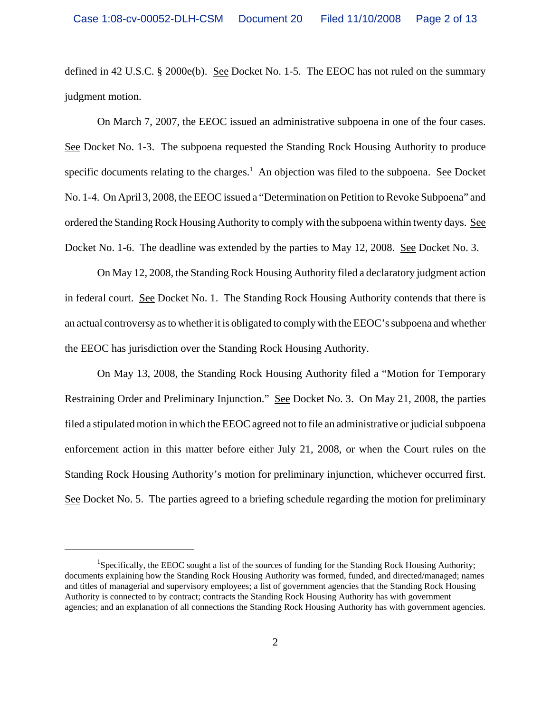defined in 42 U.S.C. § 2000e(b). See Docket No. 1-5. The EEOC has not ruled on the summary judgment motion.

On March 7, 2007, the EEOC issued an administrative subpoena in one of the four cases. See Docket No. 1-3. The subpoena requested the Standing Rock Housing Authority to produce specific documents relating to the charges.<sup>1</sup> An objection was filed to the subpoena. See Docket No. 1-4. On April 3, 2008, the EEOC issued a "Determination on Petition to Revoke Subpoena" and ordered the Standing Rock Housing Authority to comply with the subpoena within twenty days. See Docket No. 1-6. The deadline was extended by the parties to May 12, 2008. See Docket No. 3.

On May 12, 2008, the Standing Rock Housing Authority filed a declaratory judgment action in federal court. See Docket No. 1. The Standing Rock Housing Authority contends that there is an actual controversy as to whether it is obligated to comply with the EEOC's subpoena and whether the EEOC has jurisdiction over the Standing Rock Housing Authority.

On May 13, 2008, the Standing Rock Housing Authority filed a "Motion for Temporary Restraining Order and Preliminary Injunction." See Docket No. 3. On May 21, 2008, the parties filed a stipulated motion in which the EEOC agreed not to file an administrative or judicial subpoena enforcement action in this matter before either July 21, 2008, or when the Court rules on the Standing Rock Housing Authority's motion for preliminary injunction, whichever occurred first. See Docket No. 5. The parties agreed to a briefing schedule regarding the motion for preliminary

<sup>&</sup>lt;sup>1</sup>Specifically, the EEOC sought a list of the sources of funding for the Standing Rock Housing Authority; documents explaining how the Standing Rock Housing Authority was formed, funded, and directed/managed; names and titles of managerial and supervisory employees; a list of government agencies that the Standing Rock Housing Authority is connected to by contract; contracts the Standing Rock Housing Authority has with government agencies; and an explanation of all connections the Standing Rock Housing Authority has with government agencies.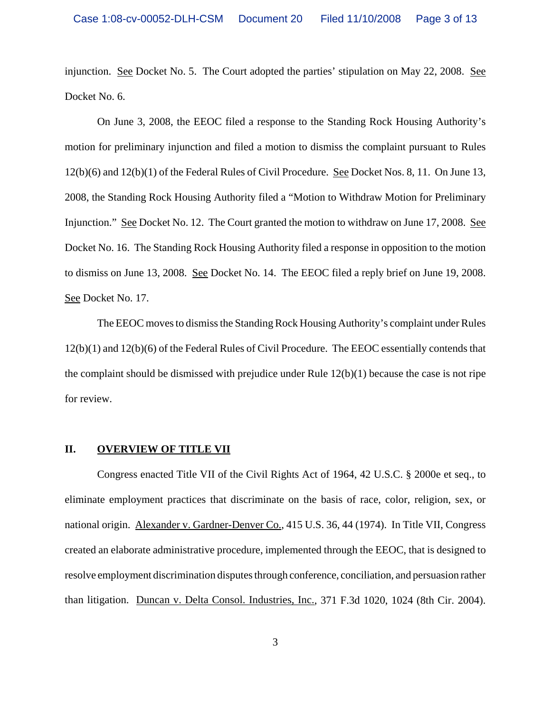injunction. See Docket No. 5. The Court adopted the parties' stipulation on May 22, 2008. See Docket No. 6.

On June 3, 2008, the EEOC filed a response to the Standing Rock Housing Authority's motion for preliminary injunction and filed a motion to dismiss the complaint pursuant to Rules 12(b)(6) and 12(b)(1) of the Federal Rules of Civil Procedure. See Docket Nos. 8, 11. On June 13, 2008, the Standing Rock Housing Authority filed a "Motion to Withdraw Motion for Preliminary Injunction." See Docket No. 12. The Court granted the motion to withdraw on June 17, 2008. See Docket No. 16. The Standing Rock Housing Authority filed a response in opposition to the motion to dismiss on June 13, 2008. See Docket No. 14. The EEOC filed a reply brief on June 19, 2008. See Docket No. 17.

The EEOC moves to dismiss the Standing Rock Housing Authority's complaint under Rules 12(b)(1) and 12(b)(6) of the Federal Rules of Civil Procedure. The EEOC essentially contends that the complaint should be dismissed with prejudice under Rule 12(b)(1) because the case is not ripe for review.

#### **II. OVERVIEW OF TITLE VII**

Congress enacted Title VII of the Civil Rights Act of 1964, 42 U.S.C. § 2000e et seq., to eliminate employment practices that discriminate on the basis of race, color, religion, sex, or national origin. Alexander v. Gardner-Denver Co., 415 U.S. 36, 44 (1974). In Title VII, Congress created an elaborate administrative procedure, implemented through the EEOC, that is designed to resolve employment discrimination disputes through conference, conciliation, and persuasion rather than litigation. Duncan v. Delta Consol. Industries, Inc., 371 F.3d 1020, 1024 (8th Cir. 2004).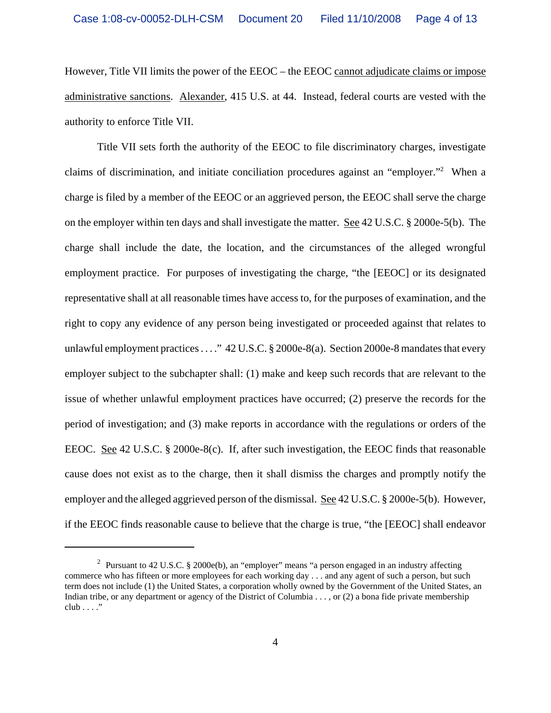However, Title VII limits the power of the EEOC – the EEOC cannot adjudicate claims or impose administrative sanctions. Alexander, 415 U.S. at 44. Instead, federal courts are vested with the authority to enforce Title VII.

Title VII sets forth the authority of the EEOC to file discriminatory charges, investigate claims of discrimination, and initiate conciliation procedures against an "employer."2 When a charge is filed by a member of the EEOC or an aggrieved person, the EEOC shall serve the charge on the employer within ten days and shall investigate the matter. See 42 U.S.C. § 2000e-5(b). The charge shall include the date, the location, and the circumstances of the alleged wrongful employment practice. For purposes of investigating the charge, "the [EEOC] or its designated representative shall at all reasonable times have access to, for the purposes of examination, and the right to copy any evidence of any person being investigated or proceeded against that relates to unlawful employment practices . . . . "42 U.S.C. § 2000e-8(a). Section 2000e-8 mandates that every employer subject to the subchapter shall: (1) make and keep such records that are relevant to the issue of whether unlawful employment practices have occurred; (2) preserve the records for the period of investigation; and (3) make reports in accordance with the regulations or orders of the EEOC. See 42 U.S.C. § 2000e-8(c). If, after such investigation, the EEOC finds that reasonable cause does not exist as to the charge, then it shall dismiss the charges and promptly notify the employer and the alleged aggrieved person of the dismissal. See 42 U.S.C. § 2000e-5(b). However, if the EEOC finds reasonable cause to believe that the charge is true, "the [EEOC] shall endeavor

<sup>&</sup>lt;sup>2</sup> Pursuant to 42 U.S.C. § 2000e(b), an "employer" means "a person engaged in an industry affecting commerce who has fifteen or more employees for each working day . . . and any agent of such a person, but such term does not include (1) the United States, a corporation wholly owned by the Government of the United States, an Indian tribe, or any department or agency of the District of Columbia . . . , or (2) a bona fide private membership  $club \ldots$ "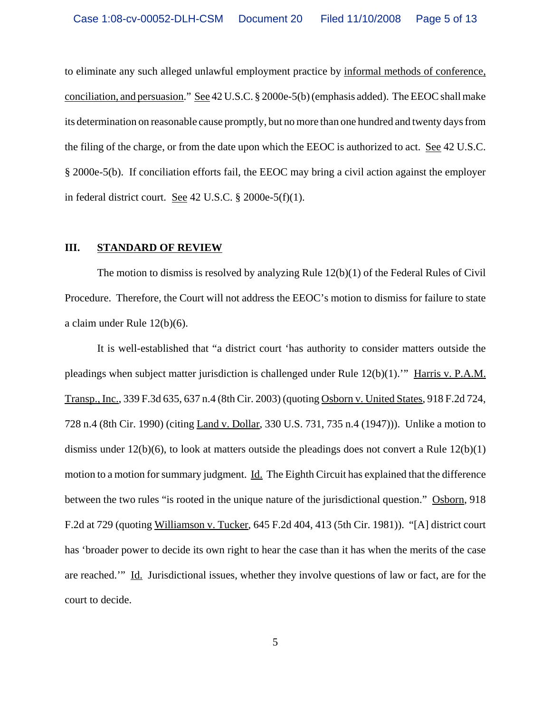to eliminate any such alleged unlawful employment practice by informal methods of conference, conciliation, and persuasion." See 42 U.S.C. § 2000e-5(b) (emphasis added). The EEOC shall make its determination on reasonable cause promptly, but no more than one hundred and twenty days from the filing of the charge, or from the date upon which the EEOC is authorized to act. See 42 U.S.C. § 2000e-5(b). If conciliation efforts fail, the EEOC may bring a civil action against the employer in federal district court. See 42 U.S.C. § 2000e-5(f)(1).

## **III. STANDARD OF REVIEW**

The motion to dismiss is resolved by analyzing Rule  $12(b)(1)$  of the Federal Rules of Civil Procedure. Therefore, the Court will not address the EEOC's motion to dismiss for failure to state a claim under Rule 12(b)(6).

It is well-established that "a district court 'has authority to consider matters outside the pleadings when subject matter jurisdiction is challenged under Rule 12(b)(1).'" Harris v. P.A.M. Transp., Inc., 339 F.3d 635, 637 n.4 (8th Cir. 2003) (quoting Osborn v. United States, 918 F.2d 724, 728 n.4 (8th Cir. 1990) (citing Land v. Dollar, 330 U.S. 731, 735 n.4 (1947))). Unlike a motion to dismiss under  $12(b)(6)$ , to look at matters outside the pleadings does not convert a Rule  $12(b)(1)$ motion to a motion for summary judgment. Id. The Eighth Circuit has explained that the difference between the two rules "is rooted in the unique nature of the jurisdictional question." Osborn, 918 F.2d at 729 (quoting Williamson v. Tucker, 645 F.2d 404, 413 (5th Cir. 1981)). "[A] district court has 'broader power to decide its own right to hear the case than it has when the merits of the case are reached.'" Id. Jurisdictional issues, whether they involve questions of law or fact, are for the court to decide.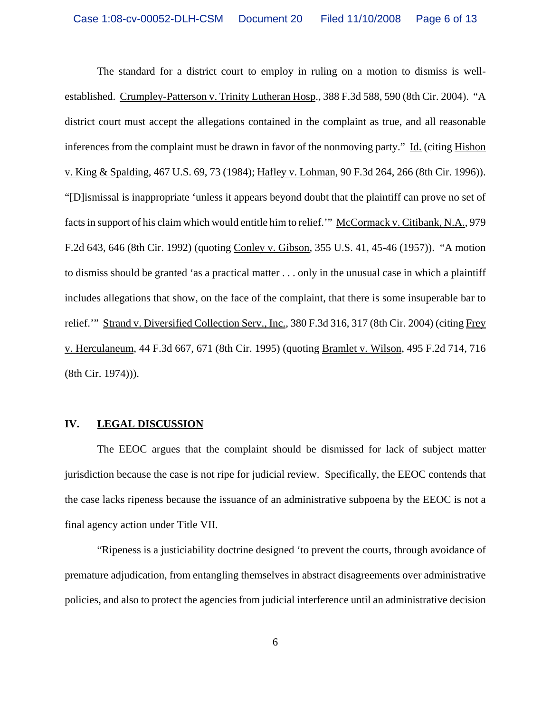The standard for a district court to employ in ruling on a motion to dismiss is wellestablished. Crumpley-Patterson v. Trinity Lutheran Hosp., 388 F.3d 588, 590 (8th Cir. 2004). "A district court must accept the allegations contained in the complaint as true, and all reasonable inferences from the complaint must be drawn in favor of the nonmoving party." Id. (citing Hishon v. King & Spalding, 467 U.S. 69, 73 (1984); Hafley v. Lohman, 90 F.3d 264, 266 (8th Cir. 1996)). "[D]ismissal is inappropriate 'unless it appears beyond doubt that the plaintiff can prove no set of facts in support of his claim which would entitle him to relief." McCormack v. Citibank, N.A., 979 F.2d 643, 646 (8th Cir. 1992) (quoting Conley v. Gibson, 355 U.S. 41, 45-46 (1957)). "A motion to dismiss should be granted 'as a practical matter . . . only in the unusual case in which a plaintiff includes allegations that show, on the face of the complaint, that there is some insuperable bar to relief.'" Strand v. Diversified Collection Serv., Inc., 380 F.3d 316, 317 (8th Cir. 2004) (citing Frey v. Herculaneum, 44 F.3d 667, 671 (8th Cir. 1995) (quoting Bramlet v. Wilson, 495 F.2d 714, 716 (8th Cir. 1974))).

#### **IV. LEGAL DISCUSSION**

The EEOC argues that the complaint should be dismissed for lack of subject matter jurisdiction because the case is not ripe for judicial review. Specifically, the EEOC contends that the case lacks ripeness because the issuance of an administrative subpoena by the EEOC is not a final agency action under Title VII.

"Ripeness is a justiciability doctrine designed 'to prevent the courts, through avoidance of premature adjudication, from entangling themselves in abstract disagreements over administrative policies, and also to protect the agencies from judicial interference until an administrative decision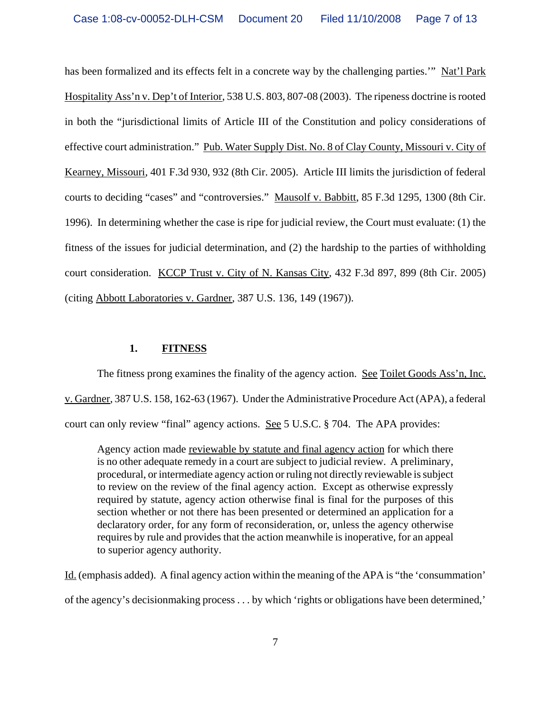has been formalized and its effects felt in a concrete way by the challenging parties." Nat'l Park Hospitality Ass'n v. Dep't of Interior, 538 U.S. 803, 807-08 (2003). The ripeness doctrine is rooted in both the "jurisdictional limits of Article III of the Constitution and policy considerations of effective court administration." Pub. Water Supply Dist. No. 8 of Clay County, Missouri v. City of Kearney, Missouri, 401 F.3d 930, 932 (8th Cir. 2005). Article III limits the jurisdiction of federal courts to deciding "cases" and "controversies." Mausolf v. Babbitt, 85 F.3d 1295, 1300 (8th Cir. 1996). In determining whether the case is ripe for judicial review, the Court must evaluate: (1) the fitness of the issues for judicial determination, and (2) the hardship to the parties of withholding court consideration. KCCP Trust v. City of N. Kansas City, 432 F.3d 897, 899 (8th Cir. 2005) (citing Abbott Laboratories v. Gardner, 387 U.S. 136, 149 (1967)).

## **1. FITNESS**

The fitness prong examines the finality of the agency action. See Toilet Goods Ass'n, Inc. v. Gardner, 387 U.S. 158, 162-63 (1967). Under the Administrative Procedure Act (APA), a federal court can only review "final" agency actions. See 5 U.S.C. § 704. The APA provides:

Agency action made reviewable by statute and final agency action for which there is no other adequate remedy in a court are subject to judicial review. A preliminary, procedural, or intermediate agency action or ruling not directly reviewable is subject to review on the review of the final agency action. Except as otherwise expressly required by statute, agency action otherwise final is final for the purposes of this section whether or not there has been presented or determined an application for a declaratory order, for any form of reconsideration, or, unless the agency otherwise requires by rule and provides that the action meanwhile is inoperative, for an appeal to superior agency authority.

Id. (emphasis added). A final agency action within the meaning of the APA is "the 'consummation' of the agency's decisionmaking process . . . by which 'rights or obligations have been determined,'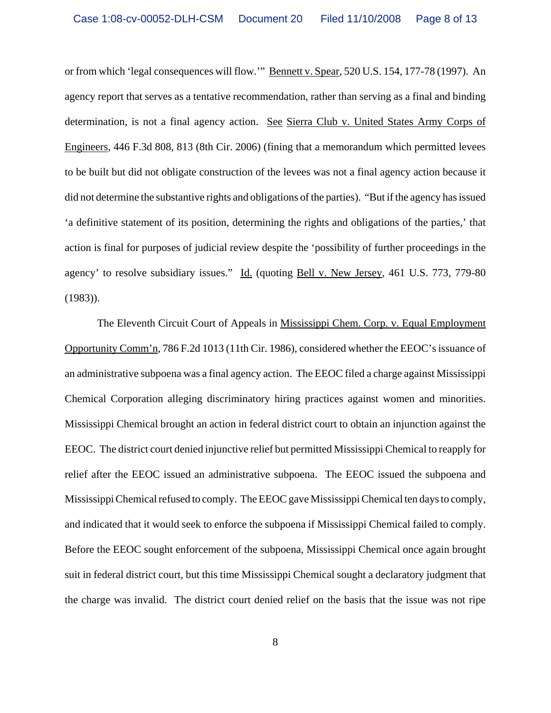or from which 'legal consequences will flow.'" Bennett v. Spear, 520 U.S. 154, 177-78 (1997). An agency report that serves as a tentative recommendation, rather than serving as a final and binding determination, is not a final agency action. See Sierra Club v. United States Army Corps of Engineers, 446 F.3d 808, 813 (8th Cir. 2006) (fining that a memorandum which permitted levees to be built but did not obligate construction of the levees was not a final agency action because it did not determine the substantive rights and obligations of the parties). "But if the agency has issued 'a definitive statement of its position, determining the rights and obligations of the parties,' that action is final for purposes of judicial review despite the 'possibility of further proceedings in the agency' to resolve subsidiary issues." Id. (quoting Bell v. New Jersey, 461 U.S. 773, 779-80 (1983)).

The Eleventh Circuit Court of Appeals in Mississippi Chem. Corp. v. Equal Employment Opportunity Comm'n, 786 F.2d 1013 (11th Cir. 1986), considered whether the EEOC's issuance of an administrative subpoena was a final agency action. The EEOC filed a charge against Mississippi Chemical Corporation alleging discriminatory hiring practices against women and minorities. Mississippi Chemical brought an action in federal district court to obtain an injunction against the EEOC. The district court denied injunctive relief but permitted Mississippi Chemical to reapply for relief after the EEOC issued an administrative subpoena. The EEOC issued the subpoena and Mississippi Chemical refused to comply. The EEOC gave Mississippi Chemical ten days to comply, and indicated that it would seek to enforce the subpoena if Mississippi Chemical failed to comply. Before the EEOC sought enforcement of the subpoena, Mississippi Chemical once again brought suit in federal district court, but this time Mississippi Chemical sought a declaratory judgment that the charge was invalid. The district court denied relief on the basis that the issue was not ripe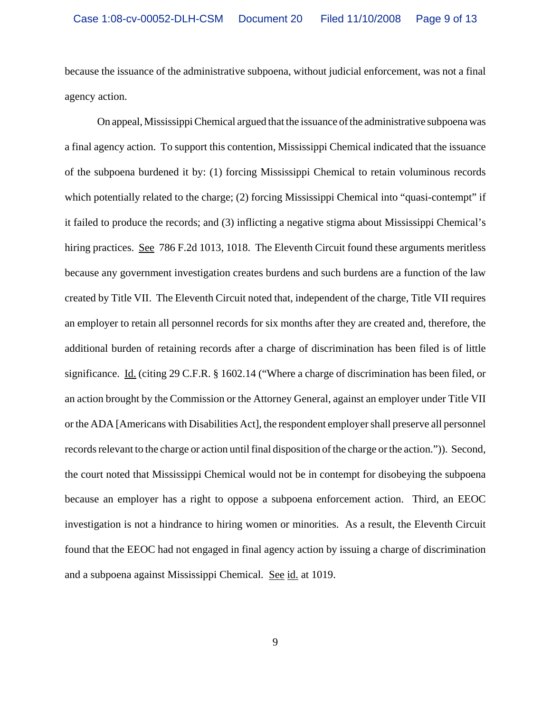because the issuance of the administrative subpoena, without judicial enforcement, was not a final agency action.

On appeal, Mississippi Chemical argued that the issuance of the administrative subpoena was a final agency action. To support this contention, Mississippi Chemical indicated that the issuance of the subpoena burdened it by: (1) forcing Mississippi Chemical to retain voluminous records which potentially related to the charge; (2) forcing Mississippi Chemical into "quasi-contempt" if it failed to produce the records; and (3) inflicting a negative stigma about Mississippi Chemical's hiring practices. See 786 F.2d 1013, 1018. The Eleventh Circuit found these arguments meritless because any government investigation creates burdens and such burdens are a function of the law created by Title VII. The Eleventh Circuit noted that, independent of the charge, Title VII requires an employer to retain all personnel records for six months after they are created and, therefore, the additional burden of retaining records after a charge of discrimination has been filed is of little significance. Id. (citing 29 C.F.R. § 1602.14 ("Where a charge of discrimination has been filed, or an action brought by the Commission or the Attorney General, against an employer under Title VII or the ADA [Americans with Disabilities Act], the respondent employer shall preserve all personnel records relevant to the charge or action until final disposition of the charge or the action.")). Second, the court noted that Mississippi Chemical would not be in contempt for disobeying the subpoena because an employer has a right to oppose a subpoena enforcement action. Third, an EEOC investigation is not a hindrance to hiring women or minorities. As a result, the Eleventh Circuit found that the EEOC had not engaged in final agency action by issuing a charge of discrimination and a subpoena against Mississippi Chemical. See id. at 1019.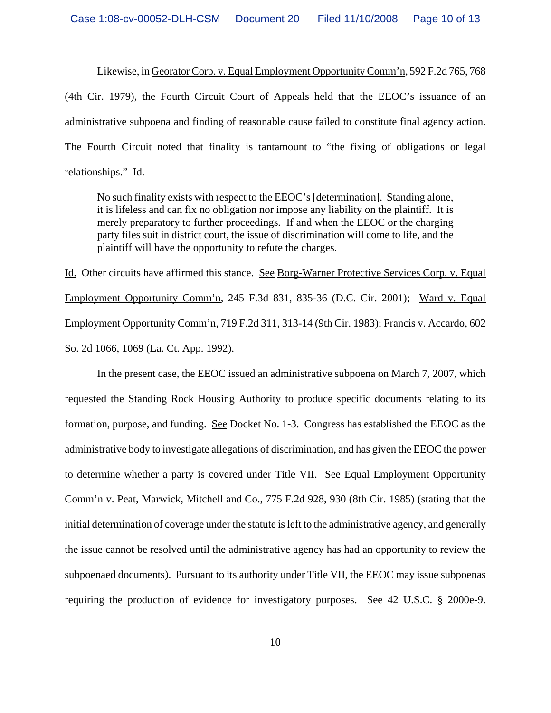Likewise, in Georator Corp. v. Equal Employment Opportunity Comm'n, 592 F.2d 765, 768 (4th Cir. 1979), the Fourth Circuit Court of Appeals held that the EEOC's issuance of an administrative subpoena and finding of reasonable cause failed to constitute final agency action. The Fourth Circuit noted that finality is tantamount to "the fixing of obligations or legal relationships." Id.

No such finality exists with respect to the EEOC's [determination]. Standing alone, it is lifeless and can fix no obligation nor impose any liability on the plaintiff. It is merely preparatory to further proceedings. If and when the EEOC or the charging party files suit in district court, the issue of discrimination will come to life, and the plaintiff will have the opportunity to refute the charges.

Id. Other circuits have affirmed this stance. See Borg-Warner Protective Services Corp. v. Equal Employment Opportunity Comm'n, 245 F.3d 831, 835-36 (D.C. Cir. 2001); Ward v. Equal Employment Opportunity Comm'n, 719 F.2d 311, 313-14 (9th Cir. 1983); Francis v. Accardo, 602 So. 2d 1066, 1069 (La. Ct. App. 1992).

In the present case, the EEOC issued an administrative subpoena on March 7, 2007, which requested the Standing Rock Housing Authority to produce specific documents relating to its formation, purpose, and funding. See Docket No. 1-3. Congress has established the EEOC as the administrative body to investigate allegations of discrimination, and has given the EEOC the power to determine whether a party is covered under Title VII. See Equal Employment Opportunity Comm'n v. Peat, Marwick, Mitchell and Co., 775 F.2d 928, 930 (8th Cir. 1985) (stating that the initial determination of coverage under the statute is left to the administrative agency, and generally the issue cannot be resolved until the administrative agency has had an opportunity to review the subpoenaed documents). Pursuant to its authority under Title VII, the EEOC may issue subpoenas requiring the production of evidence for investigatory purposes. See 42 U.S.C. § 2000e-9.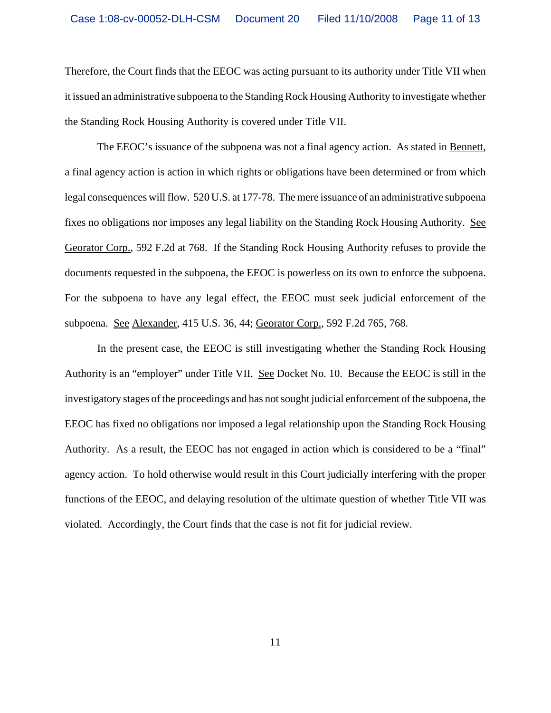Therefore, the Court finds that the EEOC was acting pursuant to its authority under Title VII when it issued an administrative subpoena to the Standing Rock Housing Authority to investigate whether the Standing Rock Housing Authority is covered under Title VII.

The EEOC's issuance of the subpoena was not a final agency action. As stated in Bennett, a final agency action is action in which rights or obligations have been determined or from which legal consequences will flow. 520 U.S. at 177-78. The mere issuance of an administrative subpoena fixes no obligations nor imposes any legal liability on the Standing Rock Housing Authority. See Georator Corp., 592 F.2d at 768. If the Standing Rock Housing Authority refuses to provide the documents requested in the subpoena, the EEOC is powerless on its own to enforce the subpoena. For the subpoena to have any legal effect, the EEOC must seek judicial enforcement of the subpoena. See Alexander, 415 U.S. 36, 44; Georator Corp., 592 F.2d 765, 768.

In the present case, the EEOC is still investigating whether the Standing Rock Housing Authority is an "employer" under Title VII. See Docket No. 10. Because the EEOC is still in the investigatory stages of the proceedings and has not sought judicial enforcement of the subpoena, the EEOC has fixed no obligations nor imposed a legal relationship upon the Standing Rock Housing Authority. As a result, the EEOC has not engaged in action which is considered to be a "final" agency action. To hold otherwise would result in this Court judicially interfering with the proper functions of the EEOC, and delaying resolution of the ultimate question of whether Title VII was violated. Accordingly, the Court finds that the case is not fit for judicial review.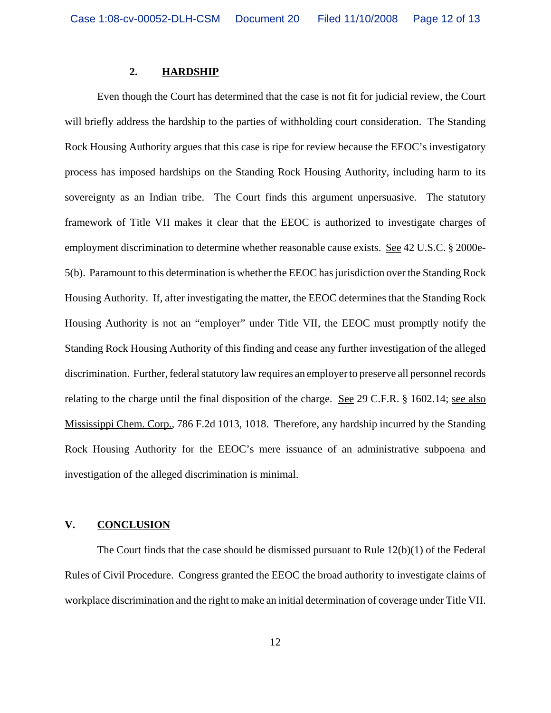### **2. HARDSHIP**

Even though the Court has determined that the case is not fit for judicial review, the Court will briefly address the hardship to the parties of withholding court consideration. The Standing Rock Housing Authority argues that this case is ripe for review because the EEOC's investigatory process has imposed hardships on the Standing Rock Housing Authority, including harm to its sovereignty as an Indian tribe. The Court finds this argument unpersuasive. The statutory framework of Title VII makes it clear that the EEOC is authorized to investigate charges of employment discrimination to determine whether reasonable cause exists. See 42 U.S.C. § 2000e-5(b). Paramount to this determination is whether the EEOC has jurisdiction over the Standing Rock Housing Authority. If, after investigating the matter, the EEOC determines that the Standing Rock Housing Authority is not an "employer" under Title VII, the EEOC must promptly notify the Standing Rock Housing Authority of this finding and cease any further investigation of the alleged discrimination. Further, federal statutory law requires an employer to preserve all personnel records relating to the charge until the final disposition of the charge. See 29 C.F.R. § 1602.14; see also Mississippi Chem. Corp., 786 F.2d 1013, 1018. Therefore, any hardship incurred by the Standing Rock Housing Authority for the EEOC's mere issuance of an administrative subpoena and investigation of the alleged discrimination is minimal.

#### **V. CONCLUSION**

The Court finds that the case should be dismissed pursuant to Rule 12(b)(1) of the Federal Rules of Civil Procedure. Congress granted the EEOC the broad authority to investigate claims of workplace discrimination and the right to make an initial determination of coverage under Title VII.